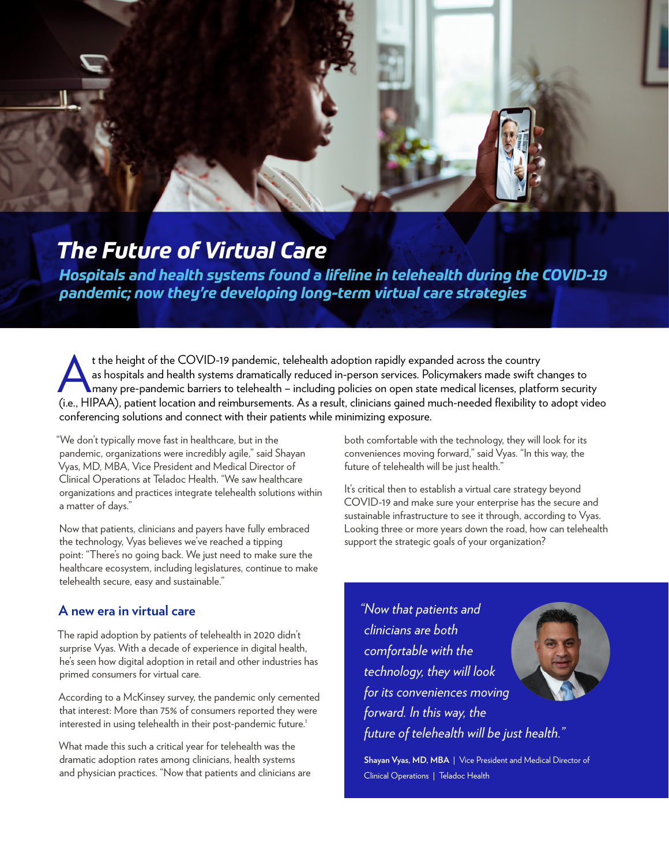# *The Future of Virtual Care*

*Hospitals and health systems found a lifeline in telehealth during the COVID-19 pandemic; now they're developing long-term virtual care strategies*

t the height of the COVID-19 pandemic, telehealth adoption rapidly expanded across the country<br>as hospitals and health systems dramatically reduced in-person services. Policymakers made swift c<br>many pre-pandemic barriers t as hospitals and health systems dramatically reduced in-person services. Policymakers made swift changes to many pre-pandemic barriers to telehealth – including policies on open state medical licenses, platform security (i.e., HIPAA), patient location and reimbursements. As a result, clinicians gained much-needed flexibility to adopt video conferencing solutions and connect with their patients while minimizing exposure.

"We don't typically move fast in healthcare, but in the pandemic, organizations were incredibly agile," said Shayan Vyas, MD, MBA, Vice President and Medical Director of Clinical Operations at Teladoc Health. "We saw healthcare organizations and practices integrate telehealth solutions within a matter of days."

Now that patients, clinicians and payers have fully embraced the technology, Vyas believes we've reached a tipping point: "There's no going back. We just need to make sure the healthcare ecosystem, including legislatures, continue to make telehealth secure, easy and sustainable."

#### **A new era in virtual care**

The rapid adoption by patients of telehealth in 2020 didn't surprise Vyas. With a decade of experience in digital health, he's seen how digital adoption in retail and other industries has primed consumers for virtual care.

According to a McKinsey survey, the pandemic only cemented that interest: More than 75% of consumers reported they were interested in using telehealth in their post-pandemic future.<sup>1</sup>

What made this such a critical year for telehealth was the dramatic adoption rates among clinicians, health systems and physician practices. "Now that patients and clinicians are both comfortable with the technology, they will look for its conveniences moving forward," said Vyas. "In this way, the future of telehealth will be just health."

It's critical then to establish a virtual care strategy beyond COVID-19 and make sure your enterprise has the secure and sustainable infrastructure to see it through, according to Vyas. Looking three or more years down the road, how can telehealth support the strategic goals of your organization?

*"Now that patients and clinicians are both comfortable with the technology, they will look for its conveniences moving forward. In this way, the future of telehealth will be just health."*



**Shayan Vyas, MD, MBA** | Vice President and Medical Director of Clinical Operations | Teladoc Health